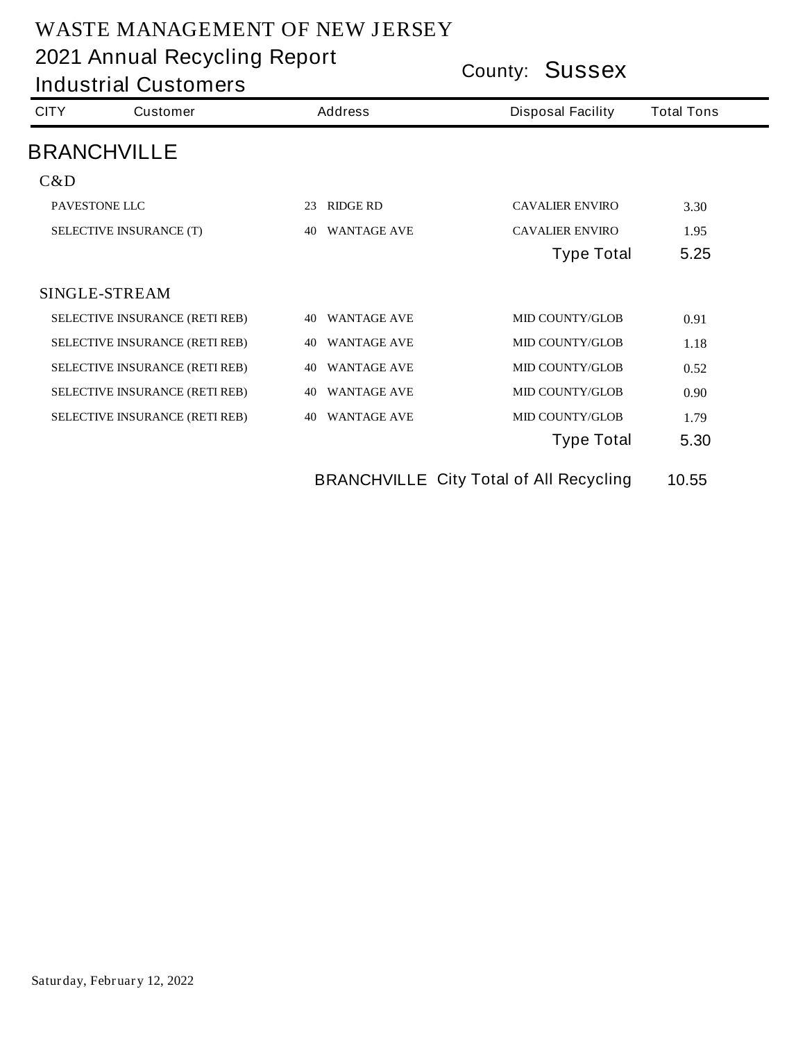**County: Sussex 2021 Annual Recycling Report**

**Industrial Customers**

| <b>CITY</b>                           | <b>Customer</b>                       | <b>Address</b>           | <b>Disposal Facility</b> | <b>Total Tons</b> |
|---------------------------------------|---------------------------------------|--------------------------|--------------------------|-------------------|
|                                       | <b>BRANCHVILLE</b>                    |                          |                          |                   |
| C&D                                   |                                       |                          |                          |                   |
|                                       | PAVESTONE LLC                         | <b>RIDGE RD</b><br>23    | <b>CAVALIER ENVIRO</b>   | <b>3.30</b>       |
| <b>SELECTIVE INSURANCE (T)</b>        |                                       | <b>WANTAGE AVE</b><br>40 | <b>CAVALIER ENVIRO</b>   | 1.95              |
|                                       |                                       |                          | <b>Type Total</b>        | 5.25              |
|                                       | <b>SINGLE-STREAM</b>                  |                          |                          |                   |
|                                       | SELECTIVE INSURANCE (RETI REB)        | <b>WANTAGE AVE</b><br>40 | <b>MID COUNTY/GLOB</b>   | 0.91              |
|                                       | <b>SELECTIVE INSURANCE (RETI REB)</b> | <b>WANTAGE AVE</b><br>40 | <b>MID COUNTY/GLOB</b>   | 1.18              |
|                                       | <b>SELECTIVE INSURANCE (RETI REB)</b> | <b>WANTAGE AVE</b><br>40 | <b>MID COUNTY/GLOB</b>   | 0.52              |
|                                       | <b>SELECTIVE INSURANCE (RETI REB)</b> | <b>WANTAGE AVE</b><br>40 | <b>MID COUNTY/GLOB</b>   | 0.90              |
| <b>SELECTIVE INSURANCE (RETI REB)</b> |                                       | <b>WANTAGE AVE</b><br>40 | <b>MID COUNTY/GLOB</b>   | 1.79              |
|                                       |                                       |                          | <b>Type Total</b>        | 5.30              |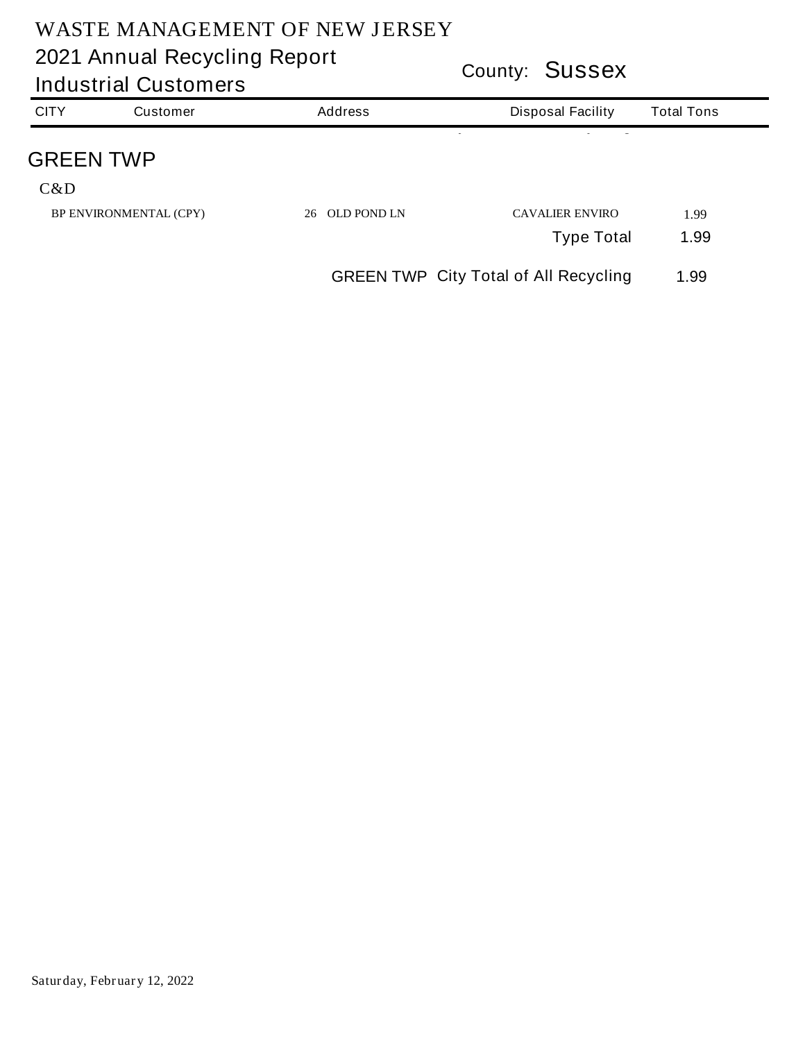| <b>Industrial Customers</b> |                               |                          | <b>COUNTY: JUSSEX</b>                        |                   |  |  |
|-----------------------------|-------------------------------|--------------------------|----------------------------------------------|-------------------|--|--|
| <b>CITY</b>                 | <b>Customer</b>               | <b>Address</b>           | <b>Disposal Facility</b>                     | <b>Total Tons</b> |  |  |
| <b>GREEN TWP</b>            |                               |                          |                                              |                   |  |  |
| C&D                         |                               |                          |                                              |                   |  |  |
|                             | <b>BP ENVIRONMENTAL (CPY)</b> | <b>OLD POND LN</b><br>26 | <b>CAVALIER ENVIRO</b>                       | 1.99              |  |  |
|                             |                               |                          | <b>Type Total</b>                            | 1.99              |  |  |
|                             |                               |                          | <b>GREEN TWP City Total of All Recycling</b> | 1.99              |  |  |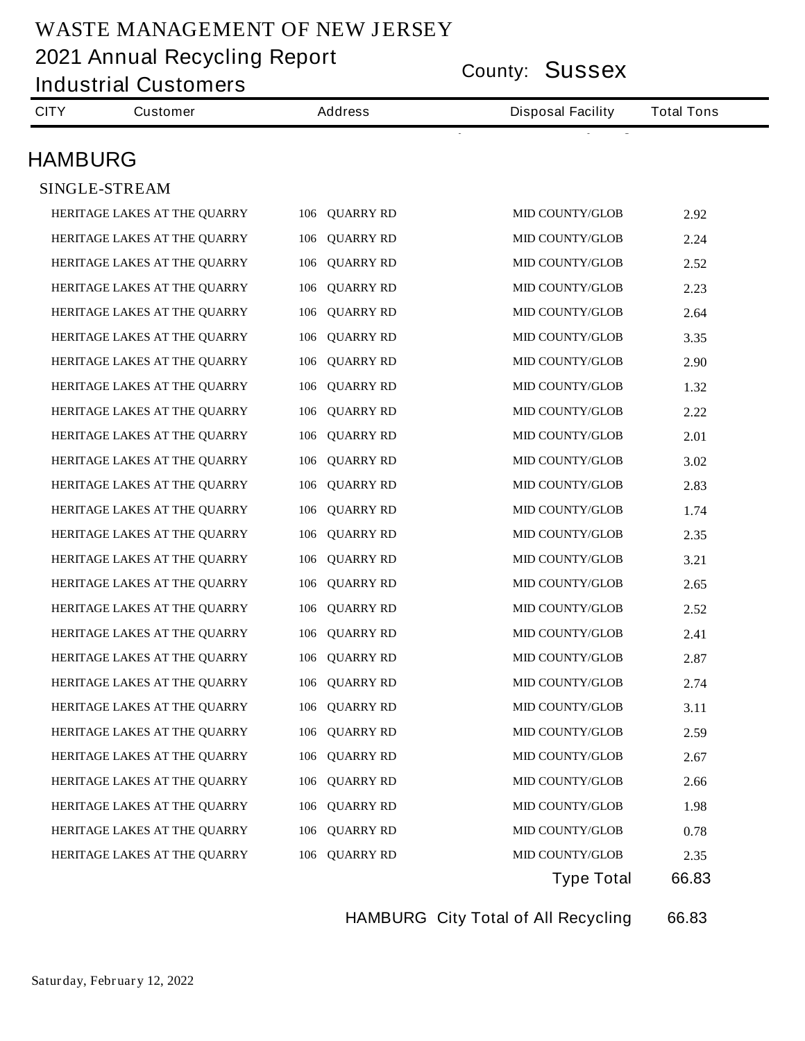**County: Sussex 2021 Annual Recycling Report**

|                | <b>Industrial Customers</b>  | County: <b>OUSSEX</b>   |                          |                   |  |  |
|----------------|------------------------------|-------------------------|--------------------------|-------------------|--|--|
| <b>CITY</b>    | <b>Customer</b>              | <b>Address</b>          | <b>Disposal Facility</b> | <b>Total Tons</b> |  |  |
| <b>HAMBURG</b> |                              |                         |                          |                   |  |  |
|                | <b>SINGLE-STREAM</b>         |                         |                          |                   |  |  |
|                | HERITAGE LAKES AT THE QUARRY | 106 QUARRY RD           | <b>MID COUNTY/GLOB</b>   | 2.92              |  |  |
|                | HERITAGE LAKES AT THE QUARRY | <b>QUARRY RD</b><br>106 | <b>MID COUNTY/GLOB</b>   | 2.24              |  |  |
|                | HERITAGE LAKES AT THE QUARRY | <b>QUARRY RD</b><br>106 | <b>MID COUNTY/GLOB</b>   | 2.52              |  |  |
|                | HERITAGE LAKES AT THE QUARRY | <b>QUARRY RD</b><br>106 | <b>MID COUNTY/GLOB</b>   | 2.23              |  |  |
|                | HERITAGE LAKES AT THE QUARRY | <b>QUARRY RD</b><br>106 | <b>MID COUNTY/GLOB</b>   | 2.64              |  |  |
|                | HERITAGE LAKES AT THE QUARRY | <b>QUARRY RD</b><br>106 | <b>MID COUNTY/GLOB</b>   | 3.35              |  |  |
|                | HERITAGE LAKES AT THE QUARRY | <b>QUARRY RD</b><br>106 | <b>MID COUNTY/GLOB</b>   | 2.90              |  |  |
|                | HERITAGE LAKES AT THE QUARRY | <b>QUARRY RD</b><br>106 | <b>MID COUNTY/GLOB</b>   | 1.32              |  |  |
|                | HERITAGE LAKES AT THE QUARRY | <b>QUARRY RD</b><br>106 | <b>MID COUNTY/GLOB</b>   | 2.22              |  |  |
|                | HERITAGE LAKES AT THE QUARRY | <b>QUARRY RD</b><br>106 | <b>MID COUNTY/GLOB</b>   | 2.01              |  |  |
|                | HERITAGE LAKES AT THE QUARRY | <b>QUARRY RD</b><br>106 | <b>MID COUNTY/GLOB</b>   | 3.02              |  |  |
|                | HERITAGE LAKES AT THE QUARRY | <b>QUARRY RD</b><br>106 | <b>MID COUNTY/GLOB</b>   | 2.83              |  |  |
|                | HERITAGE LAKES AT THE QUARRY | <b>QUARRY RD</b><br>106 | <b>MID COUNTY/GLOB</b>   | 1.74              |  |  |
|                | HERITAGE LAKES AT THE QUARRY | <b>QUARRY RD</b><br>106 | <b>MID COUNTY/GLOB</b>   | 2.35              |  |  |
|                | HERITAGE LAKES AT THE QUARRY | <b>QUARRY RD</b><br>106 | <b>MID COUNTY/GLOB</b>   | 3.21              |  |  |
|                | HERITAGE LAKES AT THE QUARRY | <b>QUARRY RD</b><br>106 | <b>MID COUNTY/GLOB</b>   | 2.65              |  |  |
|                | HERITAGE LAKES AT THE QUARRY | 106<br><b>QUARRY RD</b> | <b>MID COUNTY/GLOB</b>   | 2.52              |  |  |
|                | HERITAGE LAKES AT THE QUARRY | 106 QUARRY RD           | <b>MID COUNTY/GLOB</b>   | 2.41              |  |  |
|                | HERITAGE LAKES AT THE QUARRY | 106 QUARRY RD           | MID COUNTY/GLOB          | 2.87              |  |  |
|                | HERITAGE LAKES AT THE QUARRY | 106 QUARRY RD           | <b>MID COUNTY/GLOB</b>   | 2.74              |  |  |
|                | HERITAGE LAKES AT THE QUARRY | 106 QUARRY RD           | <b>MID COUNTY/GLOB</b>   | 3.11              |  |  |
|                | HERITAGE LAKES AT THE QUARRY | 106 QUARRY RD           | MID COUNTY/GLOB          | 2.59              |  |  |
|                | HERITAGE LAKES AT THE QUARRY | 106 QUARRY RD           | <b>MID COUNTY/GLOB</b>   | 2.67              |  |  |
|                | HERITAGE LAKES AT THE QUARRY | <b>QUARRY RD</b><br>106 | <b>MID COUNTY/GLOB</b>   | 2.66              |  |  |
|                | HERITAGE LAKES AT THE QUARRY | 106 QUARRY RD           | <b>MID COUNTY/GLOB</b>   | 1.98              |  |  |
|                | HERITAGE LAKES AT THE QUARRY | 106 QUARRY RD           | <b>MID COUNTY/GLOB</b>   | 0.78              |  |  |
|                | HERITAGE LAKES AT THE QUARRY | 106 QUARRY RD           | <b>MID COUNTY/GLOB</b>   | 2.35              |  |  |
|                |                              |                         | <b>Type Total</b>        | 66.83             |  |  |

**HAMBURG City Total of All Recycling 66.83**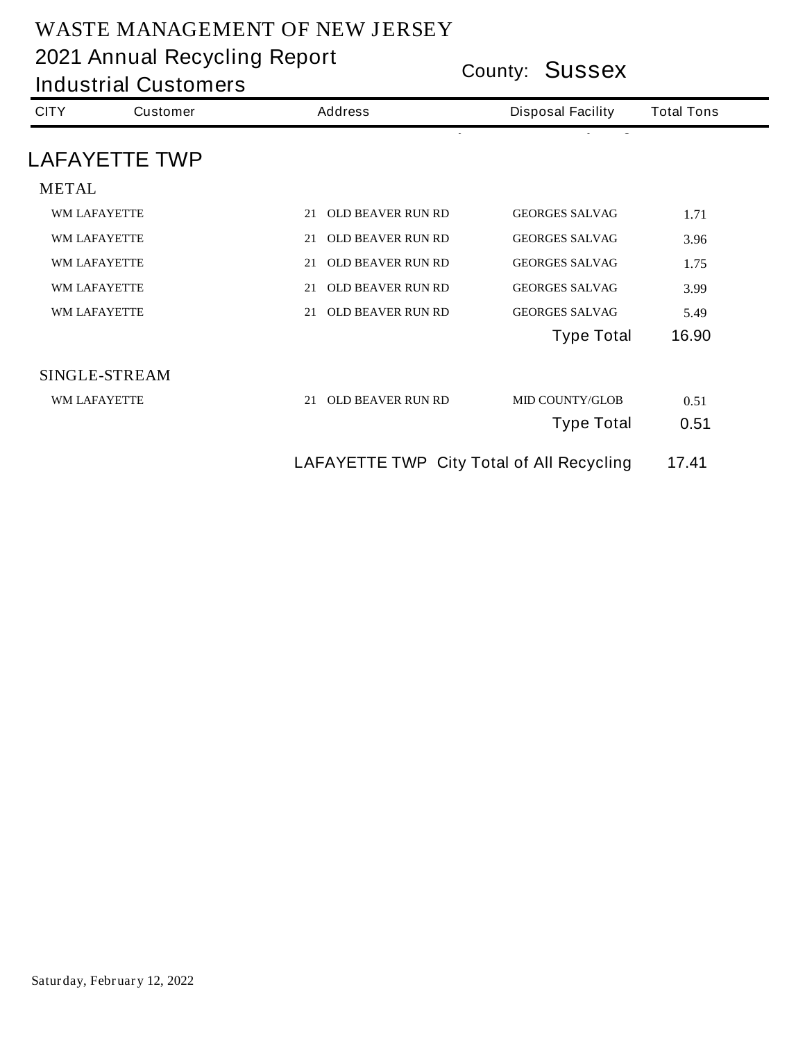| <b>Industrial Customers</b> |                      |                                                  | County: <b>SUSSEX</b>    |                   |  |  |
|-----------------------------|----------------------|--------------------------------------------------|--------------------------|-------------------|--|--|
| <b>CITY</b>                 | <b>Customer</b>      | <b>Address</b>                                   | <b>Disposal Facility</b> | <b>Total Tons</b> |  |  |
|                             | <b>LAFAYETTE TWP</b> |                                                  |                          |                   |  |  |
| <b>METAL</b>                |                      |                                                  |                          |                   |  |  |
|                             | <b>WM LAFAYETTE</b>  | <b>OLD BEAVER RUN RD</b><br>21                   | <b>GEORGES SALVAG</b>    | 1.71              |  |  |
|                             | WM LAFAYETTE         | <b>OLD BEAVER RUN RD</b><br>21                   | <b>GEORGES SALVAG</b>    | 3.96              |  |  |
|                             | <b>WM LAFAYETTE</b>  | <b>OLD BEAVER RUN RD</b><br>21                   | <b>GEORGES SALVAG</b>    | 1.75              |  |  |
|                             | <b>WM LAFAYETTE</b>  | <b>OLD BEAVER RUN RD</b><br>21                   | <b>GEORGES SALVAG</b>    | 3.99              |  |  |
|                             | <b>WM LAFAYETTE</b>  | <b>OLD BEAVER RUN RD</b><br>21                   | <b>GEORGES SALVAG</b>    | 5.49              |  |  |
|                             |                      |                                                  | <b>Type Total</b>        | 16.90             |  |  |
|                             | <b>SINGLE-STREAM</b> |                                                  |                          |                   |  |  |
|                             | <b>WM LAFAYETTE</b>  | <b>OLD BEAVER RUN RD</b><br>21                   | <b>MID COUNTY/GLOB</b>   | 0.51              |  |  |
|                             |                      |                                                  | <b>Type Total</b>        | 0.51              |  |  |
|                             |                      | <b>LAFAYETTE TWP City Total of All Recycling</b> |                          | 17.41             |  |  |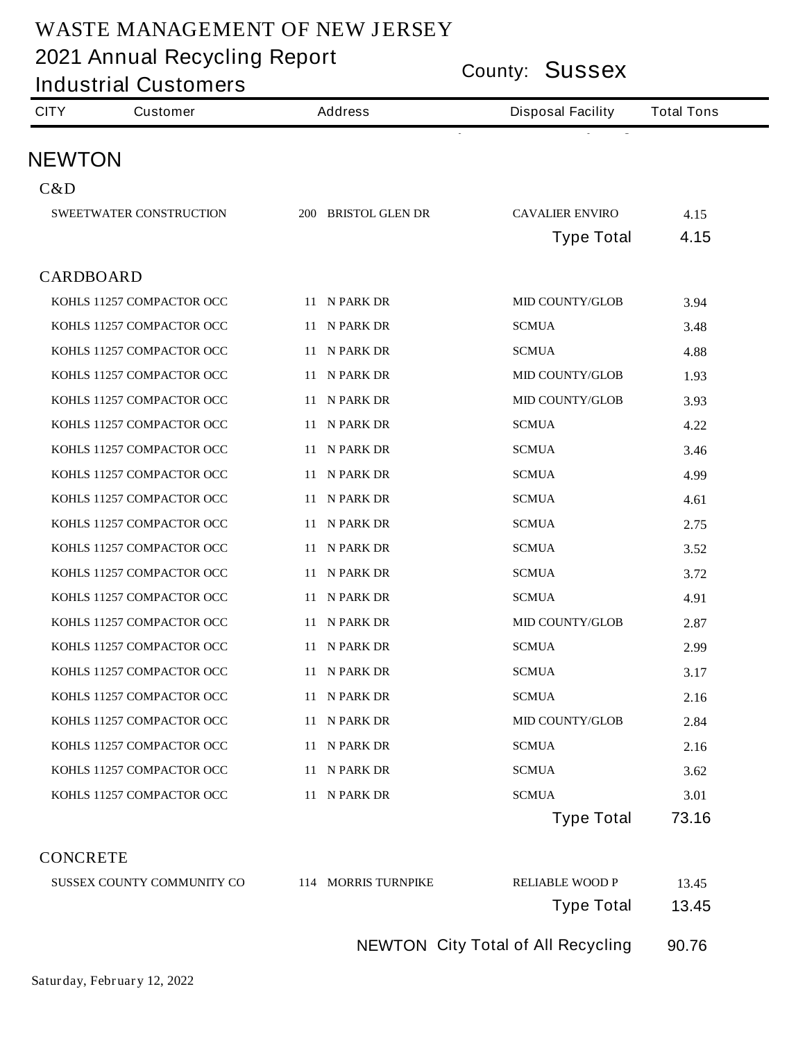|                  | <b>Industrial Customers</b>    |                     | County: <b>JUSSEX</b>    |                   |  |
|------------------|--------------------------------|---------------------|--------------------------|-------------------|--|
| <b>CITY</b>      | <b>Customer</b>                | <b>Address</b>      | <b>Disposal Facility</b> | <b>Total Tons</b> |  |
| <b>NEWTON</b>    |                                |                     |                          |                   |  |
| C&D              |                                |                     |                          |                   |  |
|                  | <b>SWEETWATER CONSTRUCTION</b> | 200 BRISTOL GLEN DR | <b>CAVALIER ENVIRO</b>   | 4.15              |  |
|                  |                                |                     | <b>Type Total</b>        | 4.15              |  |
| <b>CARDBOARD</b> |                                |                     |                          |                   |  |
|                  | KOHLS 11257 COMPACTOR OCC      | 11 N PARK DR        | <b>MID COUNTY/GLOB</b>   | 3.94              |  |
|                  | KOHLS 11257 COMPACTOR OCC      | 11 N PARK DR        | <b>SCMUA</b>             | 3.48              |  |
|                  | KOHLS 11257 COMPACTOR OCC      | 11 N PARK DR        | <b>SCMUA</b>             | 4.88              |  |
|                  | KOHLS 11257 COMPACTOR OCC      | 11 N PARK DR        | <b>MID COUNTY/GLOB</b>   | 1.93              |  |
|                  | KOHLS 11257 COMPACTOR OCC      | 11 N PARK DR        | <b>MID COUNTY/GLOB</b>   | 3.93              |  |
|                  | KOHLS 11257 COMPACTOR OCC      | 11 N PARK DR        | <b>SCMUA</b>             | 4.22              |  |
|                  | KOHLS 11257 COMPACTOR OCC      | 11 N PARK DR        | <b>SCMUA</b>             | 3.46              |  |
|                  | KOHLS 11257 COMPACTOR OCC      | 11 N PARK DR        | <b>SCMUA</b>             | 4.99              |  |
|                  | KOHLS 11257 COMPACTOR OCC      | 11 N PARK DR        | <b>SCMUA</b>             | 4.61              |  |
|                  | KOHLS 11257 COMPACTOR OCC      | 11 N PARK DR        | <b>SCMUA</b>             | 2.75              |  |
|                  | KOHLS 11257 COMPACTOR OCC      | 11 N PARK DR        | <b>SCMUA</b>             | 3.52              |  |
|                  | KOHLS 11257 COMPACTOR OCC      | 11 N PARK DR        | <b>SCMUA</b>             | 3.72              |  |
|                  | KOHLS 11257 COMPACTOR OCC      | 11 N PARK DR        | <b>SCMUA</b>             | 4.91              |  |
|                  | KOHLS 11257 COMPACTOR OCC      | 11 N PARK DR        | <b>MID COUNTY/GLOB</b>   | 2.87              |  |
|                  | KOHLS 11257 COMPACTOR OCC      | 11 N PARK DR        | <b>SCMUA</b>             | 2.99              |  |
|                  | KOHLS 11257 COMPACTOR OCC      | 11 N PARK DR        | <b>SCMUA</b>             | 3.17              |  |
|                  | KOHLS 11257 COMPACTOR OCC      | 11 N PARK DR        | ${\bf SCMUA}$            | 2.16              |  |
|                  | KOHLS 11257 COMPACTOR OCC      | 11 N PARK DR        | <b>MID COUNTY/GLOB</b>   | 2.84              |  |
|                  | KOHLS 11257 COMPACTOR OCC      | 11 N PARK DR        | <b>SCMUA</b>             | 2.16              |  |
|                  | KOHLS 11257 COMPACTOR OCC      | 11 N PARK DR        | <b>SCMUA</b>             | 3.62              |  |
|                  | KOHLS 11257 COMPACTOR OCC      | 11 N PARK DR        | <b>SCMUA</b>             | 3.01              |  |
|                  |                                |                     | <b>Type Total</b>        | 73.16             |  |

**CONCRETE**

| 13.45 | <b>RELIABLE WOOD P</b>                    | 114 MORRIS TURNPIKE | SUSSEX COUNTY COMMUNITY CO |
|-------|-------------------------------------------|---------------------|----------------------------|
| 13.45 | <b>Type Total</b>                         |                     |                            |
| 90.76 | <b>NEWTON City Total of All Recycling</b> |                     |                            |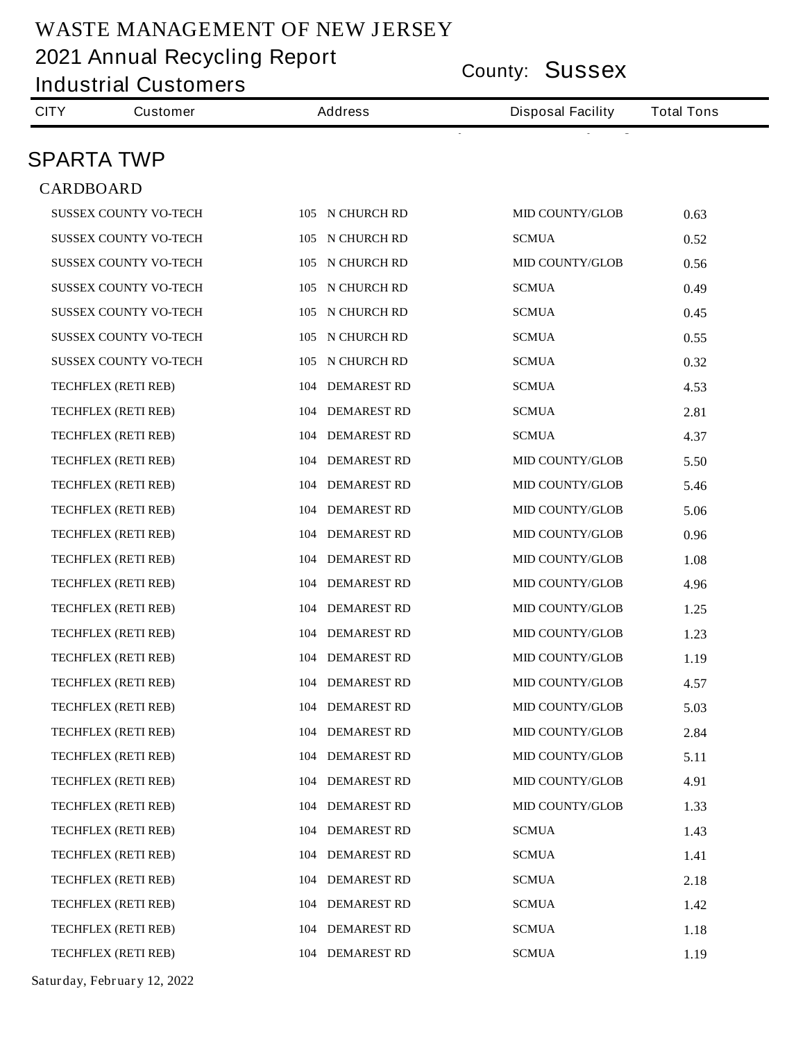**County: Sussex 2021 Annual Recycling Report**

|                   | <b>County: SUSSEX</b><br><b>Industrial Customers</b> |                           |                          |                   |  |
|-------------------|------------------------------------------------------|---------------------------|--------------------------|-------------------|--|
| <b>CITY</b>       | <b>Customer</b>                                      | <b>Address</b>            | <b>Disposal Facility</b> | <b>Total Tons</b> |  |
| <b>SPARTA TWP</b> |                                                      |                           |                          |                   |  |
| <b>CARDBOARD</b>  |                                                      |                           |                          |                   |  |
|                   | <b>SUSSEX COUNTY VO-TECH</b>                         | 105 N CHURCH RD           | <b>MID COUNTY/GLOB</b>   | 0.63              |  |
|                   | <b>SUSSEX COUNTY VO-TECH</b>                         | 105 N CHURCH RD           | <b>SCMUA</b>             | 0.52              |  |
|                   | <b>SUSSEX COUNTY VO-TECH</b>                         | N CHURCH RD<br>105        | <b>MID COUNTY/GLOB</b>   | 0.56              |  |
|                   | <b>SUSSEX COUNTY VO-TECH</b>                         | <b>N CHURCH RD</b><br>105 | <b>SCMUA</b>             | 0.49              |  |
|                   | <b>SUSSEX COUNTY VO-TECH</b>                         | N CHURCH RD<br>105        | <b>SCMUA</b>             | 0.45              |  |
|                   | <b>SUSSEX COUNTY VO-TECH</b>                         | N CHURCH RD<br>105        | <b>SCMUA</b>             | 0.55              |  |
|                   | <b>SUSSEX COUNTY VO-TECH</b>                         | 105 N CHURCH RD           | <b>SCMUA</b>             | 0.32              |  |
|                   | TECHFLEX (RETI REB)                                  | <b>104 DEMAREST RD</b>    | <b>SCMUA</b>             | 4.53              |  |
|                   | <b>TECHFLEX (RETI REB)</b>                           | <b>104 DEMAREST RD</b>    | <b>SCMUA</b>             | 2.81              |  |
|                   | <b>TECHFLEX (RETI REB)</b>                           | <b>104 DEMAREST RD</b>    | <b>SCMUA</b>             | 4.37              |  |
|                   | <b>TECHFLEX (RETI REB)</b>                           | <b>104 DEMAREST RD</b>    | <b>MID COUNTY/GLOB</b>   | 5.50              |  |
|                   | <b>TECHFLEX (RETI REB)</b>                           | <b>104 DEMAREST RD</b>    | <b>MID COUNTY/GLOB</b>   | 5.46              |  |
|                   | <b>TECHFLEX (RETI REB)</b>                           | <b>104 DEMAREST RD</b>    | <b>MID COUNTY/GLOB</b>   | 5.06              |  |
|                   | TECHFLEX (RETI REB)                                  | <b>104 DEMAREST RD</b>    | <b>MID COUNTY/GLOB</b>   | 0.96              |  |
|                   | <b>TECHFLEX (RETI REB)</b>                           | <b>104 DEMAREST RD</b>    | <b>MID COUNTY/GLOB</b>   | 1.08              |  |
|                   | <b>TECHFLEX (RETI REB)</b>                           | <b>104 DEMAREST RD</b>    | <b>MID COUNTY/GLOB</b>   | 4.96              |  |
|                   | <b>TECHFLEX (RETI REB)</b>                           | <b>104 DEMAREST RD</b>    | <b>MID COUNTY/GLOB</b>   | 1.25              |  |
|                   | <b>TECHFLEX (RETI REB)</b>                           | 104 DEMAREST RD           | <b>MID COUNTY/GLOB</b>   | 1.23              |  |
|                   | TECHFLEX (RETI REB)                                  | 104 DEMAREST RD           | <b>MID COUNTY/GLOB</b>   | 1.19              |  |
|                   | <b>TECHFLEX (RETI REB)</b>                           | 104 DEMAREST RD           | <b>MID COUNTY/GLOB</b>   | 4.57              |  |
|                   | <b>TECHFLEX (RETI REB)</b>                           | 104 DEMAREST RD           | <b>MID COUNTY/GLOB</b>   | 5.03              |  |
|                   | <b>TECHFLEX (RETI REB)</b>                           | <b>104 DEMAREST RD</b>    | <b>MID COUNTY/GLOB</b>   | 2.84              |  |
|                   | <b>TECHFLEX (RETI REB)</b>                           | <b>104 DEMAREST RD</b>    | <b>MID COUNTY/GLOB</b>   | 5.11              |  |
|                   | <b>TECHFLEX (RETI REB)</b>                           | <b>104 DEMAREST RD</b>    | <b>MID COUNTY/GLOB</b>   | 4.91              |  |
|                   | <b>TECHFLEX (RETI REB)</b>                           | <b>104 DEMAREST RD</b>    | <b>MID COUNTY/GLOB</b>   | 1.33              |  |
|                   | <b>TECHFLEX (RETI REB)</b>                           | <b>104 DEMAREST RD</b>    | <b>SCMUA</b>             | 1.43              |  |
|                   | <b>TECHFLEX (RETI REB)</b>                           | <b>104 DEMAREST RD</b>    | <b>SCMUA</b>             | 1.41              |  |
|                   | <b>TECHFLEX (RETI REB)</b>                           | <b>104 DEMAREST RD</b>    | <b>SCMUA</b>             | 2.18              |  |
|                   | <b>TECHFLEX (RETI REB)</b>                           | <b>104 DEMAREST RD</b>    | <b>SCMUA</b>             | 1.42              |  |
|                   | <b>TECHFLEX (RETI REB)</b>                           | <b>104 DEMAREST RD</b>    | <b>SCMUA</b>             | 1.18              |  |
|                   | <b>TECHFLEX (RETI REB)</b>                           | 104 DEMAREST RD           | <b>SCMUA</b>             | 1.19              |  |

**Saturday, February 12, 2022**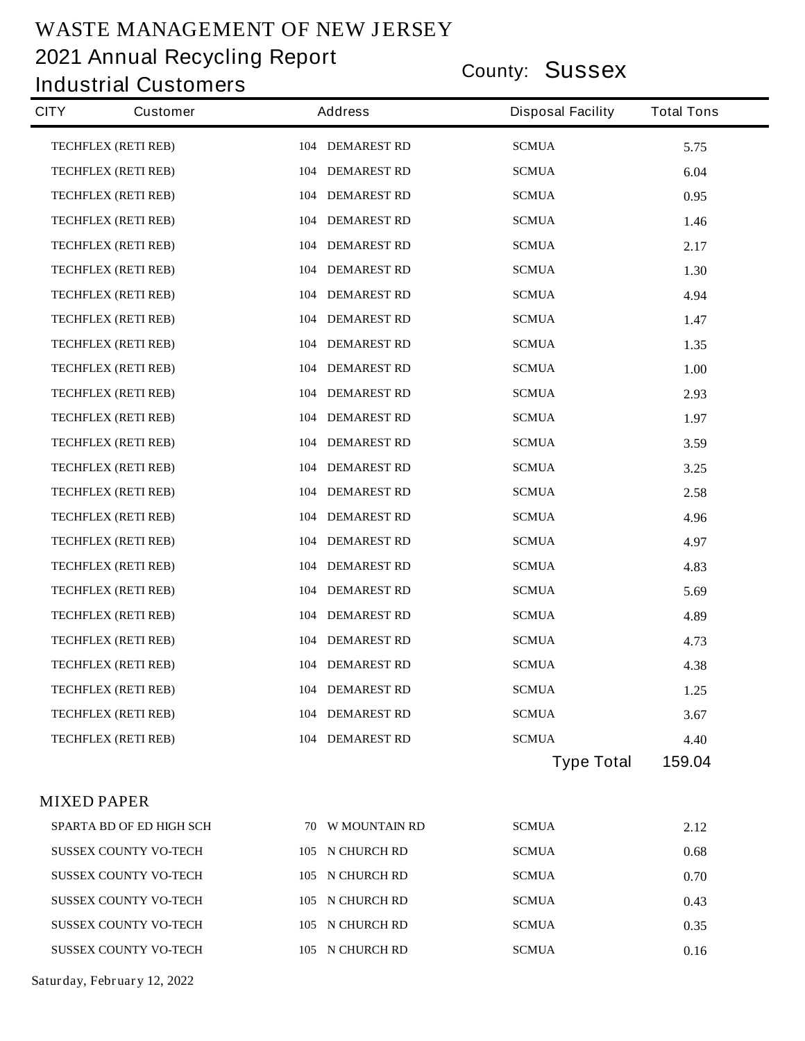**County: Sussex 2021 Annual Recycling Report**

#### **Industrial Customers**

| <b>CITY</b>        | <b>Customer</b>                 | <b>Address</b>         | <b>Disposal Facility</b> | <b>Total Tons</b> |
|--------------------|---------------------------------|------------------------|--------------------------|-------------------|
|                    | TECHFLEX (RETI REB)             | <b>104 DEMAREST RD</b> | <b>SCMUA</b>             | 5.75              |
|                    | TECHFLEX (RETI REB)             | <b>104 DEMAREST RD</b> | <b>SCMUA</b>             | 6.04              |
|                    | <b>TECHFLEX (RETI REB)</b>      | <b>104 DEMAREST RD</b> | <b>SCMUA</b>             | 0.95              |
|                    | <b>TECHFLEX (RETI REB)</b>      | <b>104 DEMAREST RD</b> | <b>SCMUA</b>             | 1.46              |
|                    | <b>TECHFLEX (RETI REB)</b>      | <b>104 DEMAREST RD</b> | <b>SCMUA</b>             | 2.17              |
|                    | <b>TECHFLEX (RETI REB)</b>      | <b>104 DEMAREST RD</b> | <b>SCMUA</b>             | 1.30              |
|                    | TECHFLEX (RETI REB)             | 104 DEMAREST RD        | <b>SCMUA</b>             | 4.94              |
|                    | <b>TECHFLEX (RETI REB)</b>      | <b>104 DEMAREST RD</b> | <b>SCMUA</b>             | 1.47              |
|                    | TECHFLEX (RETI REB)             | <b>104 DEMAREST RD</b> | <b>SCMUA</b>             | 1.35              |
|                    | <b>TECHFLEX (RETI REB)</b>      | <b>104 DEMAREST RD</b> | <b>SCMUA</b>             | 1.00              |
|                    | TECHFLEX (RETI REB)             | 104 DEMAREST RD        | <b>SCMUA</b>             | 2.93              |
|                    | <b>TECHFLEX (RETI REB)</b>      | <b>104 DEMAREST RD</b> | <b>SCMUA</b>             | 1.97              |
|                    | <b>TECHFLEX (RETI REB)</b>      | <b>104 DEMAREST RD</b> | <b>SCMUA</b>             | 3.59              |
|                    | TECHFLEX (RETI REB)             | 104 DEMAREST RD        | <b>SCMUA</b>             | 3.25              |
|                    | <b>TECHFLEX (RETI REB)</b>      | <b>104 DEMAREST RD</b> | <b>SCMUA</b>             | 2.58              |
|                    | TECHFLEX (RETI REB)             | <b>104 DEMAREST RD</b> | <b>SCMUA</b>             | 4.96              |
|                    | <b>TECHFLEX (RETI REB)</b>      | <b>104 DEMAREST RD</b> | <b>SCMUA</b>             | 4.97              |
|                    | <b>TECHFLEX (RETI REB)</b>      | 104 DEMAREST RD        | <b>SCMUA</b>             | 4.83              |
|                    | <b>TECHFLEX (RETI REB)</b>      | <b>104 DEMAREST RD</b> | <b>SCMUA</b>             | 5.69              |
|                    | <b>TECHFLEX (RETI REB)</b>      | <b>104 DEMAREST RD</b> | <b>SCMUA</b>             | 4.89              |
|                    | <b>TECHFLEX (RETI REB)</b>      | <b>104 DEMAREST RD</b> | <b>SCMUA</b>             | 4.73              |
|                    | <b>TECHFLEX (RETI REB)</b>      | <b>104 DEMAREST RD</b> | <b>SCMUA</b>             | 4.38              |
|                    | <b>TECHFLEX (RETI REB)</b>      | 104 DEMAREST RD        | <b>SCMUA</b>             | 1.25              |
|                    | <b>TECHFLEX (RETI REB)</b>      | <b>104 DEMAREST RD</b> | <b>SCMUA</b>             | 3.67              |
|                    | <b>TECHFLEX (RETI REB)</b>      | <b>104 DEMAREST RD</b> | <b>SCMUA</b>             | 4.40              |
|                    |                                 |                        | <b>Type Total</b>        | 159.04            |
| <b>MIXED PAPER</b> |                                 |                        |                          |                   |
|                    | <b>SPARTA BD OF ED HIGH SCH</b> | 70 W MOUNTAIN RD       | <b>SCMUA</b>             | 2.12              |
|                    | <b>SUSSEX COUNTY VO-TECH</b>    | 105 N CHURCH RD        | <b>SCMUA</b>             | 0.68              |
|                    | <b>SUSSEX COUNTY VO-TECH</b>    | 105 N CHURCH RD        | <b>SCMUA</b>             | 0.70              |
|                    | <b>SUSSEX COUNTY VO-TECH</b>    | 105 N CHURCH RD        | <b>SCMUA</b>             | 0.43              |
|                    | <b>SUSSEX COUNTY VO-TECH</b>    | 105 N CHURCH RD        | <b>SCMUA</b>             | 0.35              |
|                    | <b>SUSSEX COUNTY VO-TECH</b>    | 105 N CHURCH RD        | <b>SCMUA</b>             | 0.16              |
|                    | Saturday, February 12, 2022     |                        |                          |                   |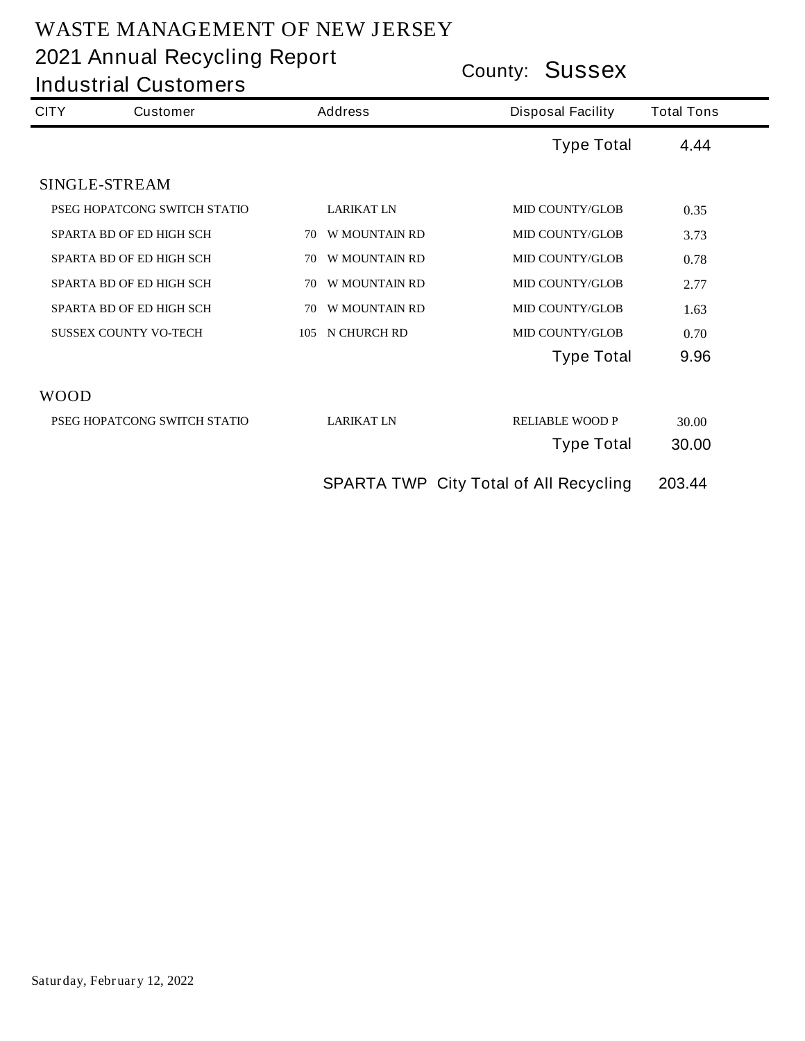| County: <b>JUSSEX</b><br><b>Industrial Customers</b> |                                 |                |                      |                                               |                   |
|------------------------------------------------------|---------------------------------|----------------|----------------------|-----------------------------------------------|-------------------|
| <b>CITY</b><br><b>Customer</b>                       |                                 | <b>Address</b> |                      | <b>Disposal Facility</b>                      | <b>Total Tons</b> |
|                                                      |                                 |                |                      | <b>Type Total</b>                             | 4.44              |
|                                                      | <b>SINGLE-STREAM</b>            |                |                      |                                               |                   |
|                                                      | PSEG HOPATCONG SWITCH STATIO    |                | <b>LARIKAT LN</b>    | <b>MID COUNTY/GLOB</b>                        | 0.35              |
|                                                      | <b>SPARTA BD OF ED HIGH SCH</b> | 70             | <b>W MOUNTAIN RD</b> | <b>MID COUNTY/GLOB</b>                        | 3.73              |
|                                                      | <b>SPARTA BD OF ED HIGH SCH</b> | 70             | <b>W MOUNTAIN RD</b> | <b>MID COUNTY/GLOB</b>                        | 0.78              |
|                                                      | <b>SPARTA BD OF ED HIGH SCH</b> | 70             | <b>W MOUNTAIN RD</b> | <b>MID COUNTY/GLOB</b>                        | 2.77              |
|                                                      | <b>SPARTA BD OF ED HIGH SCH</b> | 70             | <b>W MOUNTAIN RD</b> | <b>MID COUNTY/GLOB</b>                        | 1.63              |
|                                                      | <b>SUSSEX COUNTY VO-TECH</b>    | 105            | N CHURCH RD          | <b>MID COUNTY/GLOB</b>                        | 0.70              |
|                                                      |                                 |                |                      | <b>Type Total</b>                             | 9.96              |
| <b>WOOD</b>                                          |                                 |                |                      |                                               |                   |
|                                                      | PSEG HOPATCONG SWITCH STATIO    |                | <b>LARIKAT LN</b>    | <b>RELIABLE WOOD P</b>                        | 30.00             |
|                                                      |                                 |                |                      | <b>Type Total</b>                             | 30.00             |
|                                                      |                                 |                |                      | <b>SPARTA TWP City Total of All Recycling</b> | 203.44            |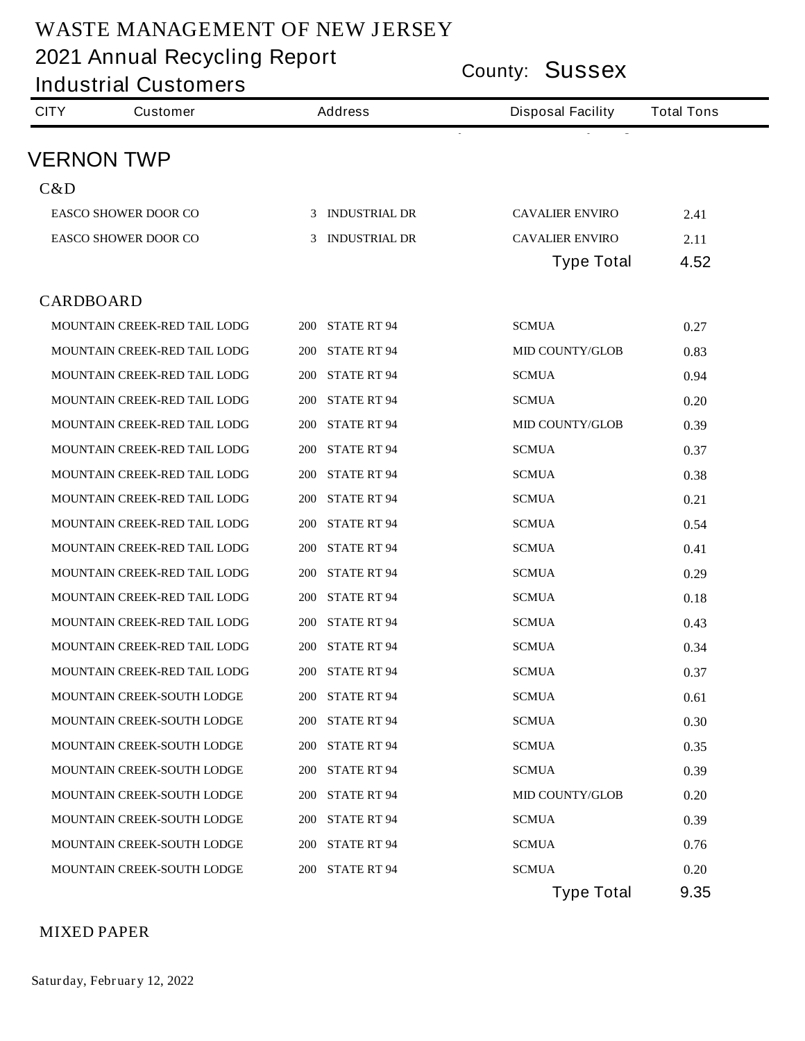**County: Sussex 2021 Annual Recycling Report**

|                  | <b>Industrial Customers</b>         | County: <b>OUSSEX</b>            |                          |                   |  |  |
|------------------|-------------------------------------|----------------------------------|--------------------------|-------------------|--|--|
| <b>CITY</b>      | <b>Customer</b>                     | <b>Address</b>                   | <b>Disposal Facility</b> | <b>Total Tons</b> |  |  |
|                  | <b>VERNON TWP</b>                   |                                  |                          |                   |  |  |
| C&D              |                                     |                                  |                          |                   |  |  |
|                  | <b>EASCO SHOWER DOOR CO</b>         | 3 INDUSTRIAL DR                  | <b>CAVALIER ENVIRO</b>   | 2.41              |  |  |
|                  | <b>EASCO SHOWER DOOR CO</b>         | 3 INDUSTRIAL DR                  | <b>CAVALIER ENVIRO</b>   | 2.11              |  |  |
|                  |                                     |                                  | <b>Type Total</b>        | 4.52              |  |  |
| <b>CARDBOARD</b> |                                     |                                  |                          |                   |  |  |
|                  | <b>MOUNTAIN CREEK-RED TAIL LODG</b> | <b>200 STATE RT 94</b>           | <b>SCMUA</b>             | 0.27              |  |  |
|                  | <b>MOUNTAIN CREEK-RED TAIL LODG</b> | <b>200 STATE RT 94</b>           | <b>MID COUNTY/GLOB</b>   | 0.83              |  |  |
|                  | <b>MOUNTAIN CREEK-RED TAIL LODG</b> | <b>200 STATE RT 94</b>           | <b>SCMUA</b>             | 0.94              |  |  |
|                  | <b>MOUNTAIN CREEK-RED TAIL LODG</b> | <b>200 STATE RT 94</b>           | <b>SCMUA</b>             | 0.20              |  |  |
|                  | <b>MOUNTAIN CREEK-RED TAIL LODG</b> | <b>200 STATE RT 94</b>           | <b>MID COUNTY/GLOB</b>   | 0.39              |  |  |
|                  | <b>MOUNTAIN CREEK-RED TAIL LODG</b> | <b>200 STATE RT 94</b>           | <b>SCMUA</b>             | 0.37              |  |  |
|                  | <b>MOUNTAIN CREEK-RED TAIL LODG</b> | <b>200 STATE RT 94</b>           | <b>SCMUA</b>             | 0.38              |  |  |
|                  | <b>MOUNTAIN CREEK-RED TAIL LODG</b> | <b>200 STATE RT 94</b>           | <b>SCMUA</b>             | 0.21              |  |  |
|                  | <b>MOUNTAIN CREEK-RED TAIL LODG</b> | <b>200 STATE RT 94</b>           | <b>SCMUA</b>             | 0.54              |  |  |
|                  | <b>MOUNTAIN CREEK-RED TAIL LODG</b> | <b>200 STATE RT 94</b>           | <b>SCMUA</b>             | 0.41              |  |  |
|                  | MOUNTAIN CREEK-RED TAIL LODG        | <b>200 STATE RT 94</b>           | <b>SCMUA</b>             | 0.29              |  |  |
|                  | MOUNTAIN CREEK-RED TAIL LODG        | <b>200 STATE RT 94</b>           | <b>SCMUA</b>             | 0.18              |  |  |
|                  | MOUNTAIN CREEK-RED TAIL LODG        | <b>200 STATE RT 94</b>           | <b>SCMUA</b>             | 0.43              |  |  |
|                  | <b>MOUNTAIN CREEK-RED TAIL LODG</b> | <b>200 STATE RT 94</b>           | <b>SCMUA</b>             | 0.34              |  |  |
|                  | MOUNTAIN CREEK-RED TAIL LODG        | <b>200 STATE RT 94</b>           | <b>SCMUA</b>             | 0.37              |  |  |
|                  | MOUNTAIN CREEK-SOUTH LODGE          | <b>200 STATE RT 94</b>           | <b>SCMUA</b>             | 0.61              |  |  |
|                  | MOUNTAIN CREEK-SOUTH LODGE          | <b>200 STATE RT 94</b>           | <b>SCMUA</b>             | 0.30              |  |  |
|                  | MOUNTAIN CREEK-SOUTH LODGE          | <b>STATE RT 94</b><br><b>200</b> | <b>SCMUA</b>             | 0.35              |  |  |
|                  | MOUNTAIN CREEK-SOUTH LODGE          | <b>STATE RT 94</b><br><b>200</b> | <b>SCMUA</b>             | 0.39              |  |  |
|                  | MOUNTAIN CREEK-SOUTH LODGE          | <b>200 STATE RT 94</b>           | <b>MID COUNTY/GLOB</b>   | 0.20              |  |  |
|                  | <b>MOUNTAIN CREEK-SOUTH LODGE</b>   | <b>200 STATE RT 94</b>           | <b>SCMUA</b>             | 0.39              |  |  |
|                  | MOUNTAIN CREEK-SOUTH LODGE          | <b>200 STATE RT 94</b>           | <b>SCMUA</b>             | 0.76              |  |  |
|                  | <b>MOUNTAIN CREEK-SOUTH LODGE</b>   | <b>200 STATE RT 94</b>           | <b>SCMUA</b>             | 0.20              |  |  |
|                  |                                     |                                  | <b>Type Total</b>        | 9.35              |  |  |

#### **MIXED PAPER**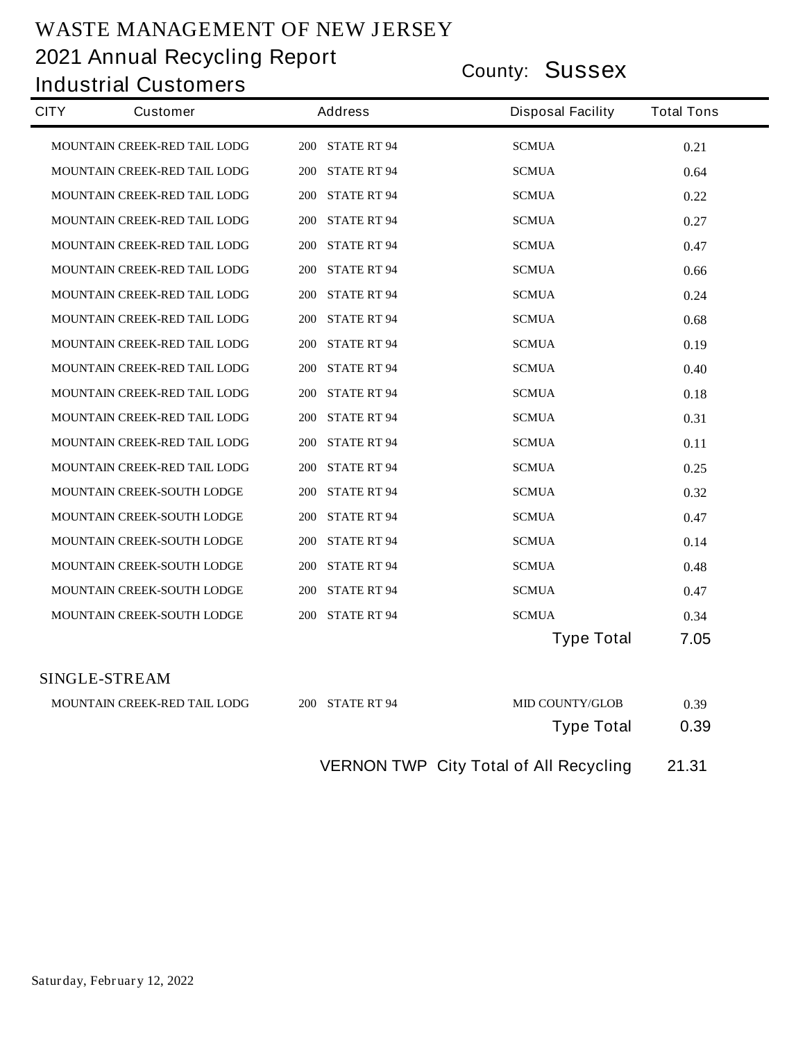**County: Sussex 2021 Annual Recycling Report Industrial Customers**

| <b>CITY</b> | <b>Customer</b>                     | <b>Address</b>         | <b>Disposal Facility</b> | <b>Total Tons</b> |
|-------------|-------------------------------------|------------------------|--------------------------|-------------------|
|             | <b>MOUNTAIN CREEK-RED TAIL LODG</b> | <b>200 STATE RT 94</b> | <b>SCMUA</b>             | 0.21              |
|             | MOUNTAIN CREEK-RED TAIL LODG        | <b>200 STATE RT 94</b> | <b>SCMUA</b>             | 0.64              |
|             | <b>MOUNTAIN CREEK-RED TAIL LODG</b> | 200 STATE RT 94        | <b>SCMUA</b>             | 0.22              |
|             | <b>MOUNTAIN CREEK-RED TAIL LODG</b> | <b>200 STATE RT 94</b> | <b>SCMUA</b>             | 0.27              |
|             | MOUNTAIN CREEK-RED TAIL LODG        | 200 STATE RT 94        | <b>SCMUA</b>             | 0.47              |
|             | MOUNTAIN CREEK-RED TAIL LODG        | <b>200 STATE RT 94</b> | <b>SCMUA</b>             | 0.66              |
|             | <b>MOUNTAIN CREEK-RED TAIL LODG</b> | <b>200 STATE RT 94</b> | <b>SCMUA</b>             | 0.24              |
|             | <b>MOUNTAIN CREEK-RED TAIL LODG</b> | <b>200 STATE RT 94</b> | <b>SCMUA</b>             | 0.68              |
|             | <b>MOUNTAIN CREEK-RED TAIL LODG</b> | <b>200 STATE RT 94</b> | <b>SCMUA</b>             | 0.19              |
|             | MOUNTAIN CREEK-RED TAIL LODG        | 200 STATE RT 94        | <b>SCMUA</b>             | 0.40              |
|             | <b>MOUNTAIN CREEK-RED TAIL LODG</b> | <b>200 STATE RT 94</b> | <b>SCMUA</b>             | 0.18              |
|             | MOUNTAIN CREEK-RED TAIL LODG        | <b>200 STATE RT 94</b> | <b>SCMUA</b>             | 0.31              |
|             | MOUNTAIN CREEK-RED TAIL LODG        | <b>200 STATE RT 94</b> | <b>SCMUA</b>             | 0.11              |
|             | MOUNTAIN CREEK-RED TAIL LODG        | <b>200 STATE RT 94</b> | <b>SCMUA</b>             | 0.25              |
|             | <b>MOUNTAIN CREEK-SOUTH LODGE</b>   | <b>200 STATE RT 94</b> | <b>SCMUA</b>             | 0.32              |
|             | <b>MOUNTAIN CREEK-SOUTH LODGE</b>   | <b>200 STATE RT 94</b> | <b>SCMUA</b>             | 0.47              |
|             | <b>MOUNTAIN CREEK-SOUTH LODGE</b>   | <b>200 STATE RT 94</b> | <b>SCMUA</b>             | 0.14              |
|             | <b>MOUNTAIN CREEK-SOUTH LODGE</b>   | <b>200 STATE RT 94</b> | <b>SCMUA</b>             | 0.48              |
|             | <b>MOUNTAIN CREEK-SOUTH LODGE</b>   | <b>200 STATE RT 94</b> | <b>SCMUA</b>             | 0.47              |
|             | <b>MOUNTAIN CREEK-SOUTH LODGE</b>   | <b>200 STATE RT 94</b> | <b>SCMUA</b>             | 0.34              |
|             |                                     |                        | <b>Type Total</b>        | 7.05              |
|             | <b>SINGLE-STREAM</b>                |                        |                          |                   |
|             | <b>MOUNTAIN CREEK-RED TAIL LODG</b> | <b>200 STATE RT 94</b> | <b>MID COUNTY/GLOB</b>   | 0.39              |
|             |                                     |                        | <b>Type Total</b>        | 0.39              |

**VERNON TWP City Total of All Recycling 21.31**